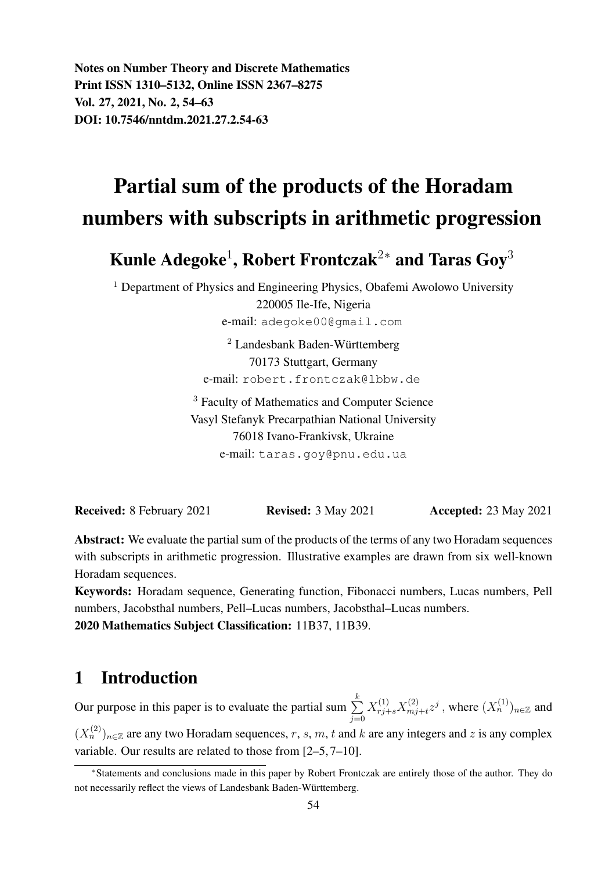Notes on Number Theory and Discrete Mathematics Print ISSN 1310–5132, Online ISSN 2367–8275 Vol. 27, 2021, No. 2, 54–63 DOI: 10.7546/nntdm.2021.27.2.54-63

# Partial sum of the products of the Horadam numbers with subscripts in arithmetic progression

Kunle Adegoke $^1$ , Robert Frontczak $^{2*}$  and Taras Goy $^3$ 

<sup>1</sup> Department of Physics and Engineering Physics, Obafemi Awolowo University 220005 Ile-Ife, Nigeria e-mail: adegoke00@gmail.com

> $2$  Landesbank Baden-Württemberg 70173 Stuttgart, Germany e-mail: robert.frontczak@lbbw.de

<sup>3</sup> Faculty of Mathematics and Computer Science Vasyl Stefanyk Precarpathian National University 76018 Ivano-Frankivsk, Ukraine e-mail: taras.goy@pnu.edu.ua

**Received:** 8 February 2021 **Revised:** 3 May 2021 **Accepted:** 23 May 2021

Abstract: We evaluate the partial sum of the products of the terms of any two Horadam sequences with subscripts in arithmetic progression. Illustrative examples are drawn from six well-known Horadam sequences.

Keywords: Horadam sequence, Generating function, Fibonacci numbers, Lucas numbers, Pell numbers, Jacobsthal numbers, Pell–Lucas numbers, Jacobsthal–Lucas numbers. 2020 Mathematics Subject Classification: 11B37, 11B39.

### 1 Introduction

Our purpose in this paper is to evaluate the partial sum  $\sum_{k=1}^{k}$  $j=0$  $X^{(1)}_{rj+s}X^{(2)}_{mj}$  $\chi_{mj+t}^{(2)}z^j$  , where  $(X_n^{(1)})_{n\in\mathbb{Z}}$  and  $(X_n^{(2)})_{n \in \mathbb{Z}}$  are any two Horadam sequences, r, s, m, t and k are any integers and z is any complex variable. Our results are related to those from [2–5, 7–10].

<sup>∗</sup>Statements and conclusions made in this paper by Robert Frontczak are entirely those of the author. They do not necessarily reflect the views of Landesbank Baden-Württemberg.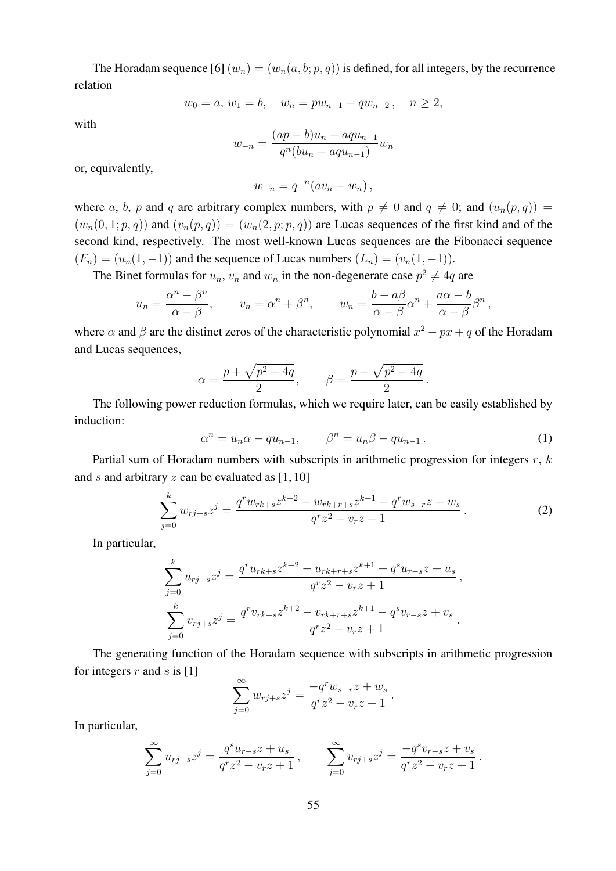The Horadam sequence [6]  $(w_n) = (w_n(a, b; p, q))$  is defined, for all integers, by the recurrence relation

$$
w_0 = a, w_1 = b, \quad w_n = pw_{n-1} - qw_{n-2}, \quad n \ge 2,
$$

with

$$
w_{-n} = \frac{(ap - b)u_n - aqu_{n-1}}{q^n(bu_n - aqu_{n-1})}w_n
$$

or, equivalently,

$$
w_{-n} = q^{-n}(av_n - w_n),
$$

where a, b, p and q are arbitrary complex numbers, with  $p \neq 0$  and  $q \neq 0$ ; and  $(u_n(p,q)) =$  $(w_n(0, 1; p, q))$  and  $(v_n(p, q)) = (w_n(2, p; p, q))$  are Lucas sequences of the first kind and of the second kind, respectively. The most well-known Lucas sequences are the Fibonacci sequence  $(F_n) = (u_n(1,-1))$  and the sequence of Lucas numbers  $(L_n) = (v_n(1,-1))$ .

The Binet formulas for  $u_n$ ,  $v_n$  and  $w_n$  in the non-degenerate case  $p^2 \neq 4q$  are

$$
u_n = \frac{\alpha^n - \beta^n}{\alpha - \beta},
$$
  $v_n = \alpha^n + \beta^n,$   $w_n = \frac{b - a\beta}{\alpha - \beta}\alpha^n + \frac{a\alpha - b}{\alpha - \beta}\beta^n,$ 

where  $\alpha$  and  $\beta$  are the distinct zeros of the characteristic polynomial  $x^2 - px + q$  of the Horadam and Lucas sequences,

$$
\alpha = \frac{p + \sqrt{p^2 - 4q}}{2}, \qquad \beta = \frac{p - \sqrt{p^2 - 4q}}{2}
$$

The following power reduction formulas, which we require later, can be easily established by induction:

$$
\alpha^n = u_n \alpha - q u_{n-1}, \qquad \beta^n = u_n \beta - q u_{n-1}.
$$
 (1)

.

Partial sum of Horadam numbers with subscripts in arithmetic progression for integers  $r, k$ and s and arbitrary  $z$  can be evaluated as  $[1, 10]$ 

$$
\sum_{j=0}^{k} w_{rj+s} z^j = \frac{q^r w_{rk+s} z^{k+2} - w_{rk+r+s} z^{k+1} - q^r w_{s-r} z + w_s}{q^r z^2 - v_r z + 1}.
$$
 (2)

In particular,

$$
\sum_{j=0}^{k} u_{rj+s} z^j = \frac{q^r u_{rk+s} z^{k+2} - u_{rk+r+s} z^{k+1} + q^s u_{r-s} z + u_s}{q^r z^2 - v_r z + 1},
$$
  

$$
\sum_{j=0}^{k} v_{rj+s} z^j = \frac{q^r v_{rk+s} z^{k+2} - v_{rk+r+s} z^{k+1} - q^s v_{r-s} z + v_s}{q^r z^2 - v_r z + 1}.
$$

The generating function of the Horadam sequence with subscripts in arithmetic progression for integers  $r$  and  $s$  is [1]

$$
\sum_{j=0}^{\infty} w_{rj+s} z^j = \frac{-q^r w_{s-r} z + w_s}{q^r z^2 - v_r z + 1}.
$$

In particular,

$$
\sum_{j=0}^{\infty} u_{rj+s} z^j = \frac{q^s u_{r-s} z + u_s}{q^r z^2 - v_r z + 1}, \qquad \sum_{j=0}^{\infty} v_{rj+s} z^j = \frac{-q^s v_{r-s} z + v_s}{q^r z^2 - v_r z + 1}.
$$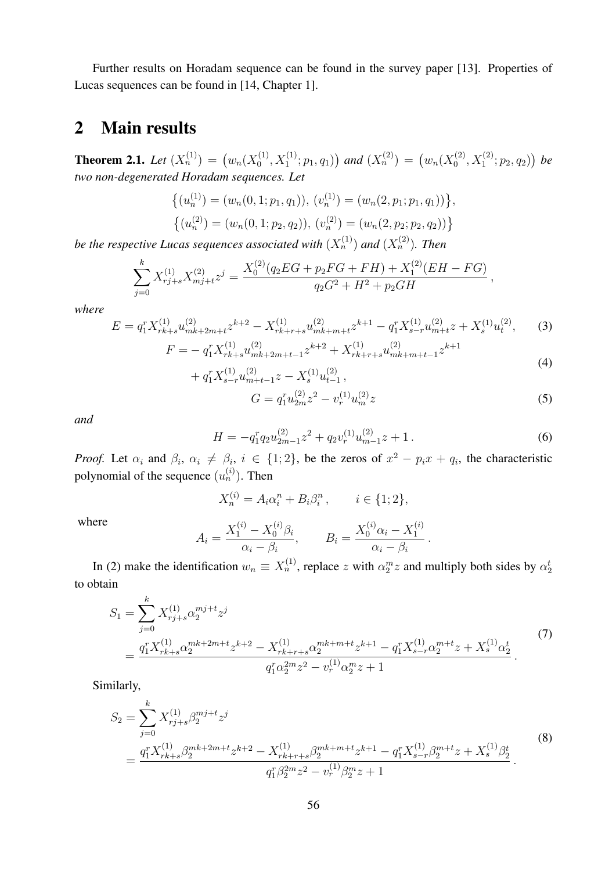Further results on Horadam sequence can be found in the survey paper [13]. Properties of Lucas sequences can be found in [14, Chapter 1].

#### 2 Main results

**Theorem 2.1.** Let  $(X_n^{(1)}) = (w_n(X_0^{(1)})$  $\binom{10}{0},X_1^{(1)};p_1,q_1)$  and  $(X_n^{(2)}) = (w_n(X_0^{(2)})$  $\bigl( \begin{smallmatrix} (2) \ 0 \end{smallmatrix}, X^{(2)}_1; p_2, q_2 \bigr) \bigr)$  be *two non-degenerated Horadam sequences. Let*

$$
\{(u_n^{(1)}) = (w_n(0, 1; p_1, q_1)), (v_n^{(1)}) = (w_n(2, p_1; p_1, q_1))\},\
$$

$$
\{(u_n^{(2)}) = (w_n(0, 1; p_2, q_2)), (v_n^{(2)}) = (w_n(2, p_2; p_2, q_2))\}
$$

be the respective Lucas sequences associated with  $(X_n^{(1)})$  and  $(X_n^{(2)})$ . Then

$$
\sum_{j=0}^{k} X_{rj+s}^{(1)} X_{mj+t}^{(2)} z^j = \frac{X_0^{(2)} (q_2 EG + p_2 FG + FH) + X_1^{(2)} (EH - FG)}{q_2 G^2 + H^2 + p_2 GH},
$$

*where*

$$
E = q_1^r X_{rk+s}^{(1)} u_{mk+2m+t}^{(2)} z^{k+2} - X_{rk+r+s}^{(1)} u_{mk+m+t}^{(2)} z^{k+1} - q_1^r X_{s-r}^{(1)} u_{m+t}^{(2)} z + X_s^{(1)} u_t^{(2)},
$$
  
\n
$$
F = -q_1^r X_{rk+s}^{(1)} u_{mk+2m+t-1}^{(2)} z^{k+2} + X_{rk+r+s}^{(1)} u_{mk+m+t-1}^{(2)} z^{k+1}
$$
 (3)

$$
= - q_1^r X_{rk+s}^{(1)} u_{mk+2m+t-1}^{(2)} z^{k+2} + X_{rk+r+s}^{(1)} u_{mk+m+t-1}^{(2)} z^{k+1} + q_1^r X_{s-r}^{(1)} u_{m+t-1}^{(2)} z - X_s^{(1)} u_{t-1}^{(2)},
$$
\n
$$
(4)
$$

$$
G = q_1^r u_{2m}^{(2)} z^2 - v_r^{(1)} u_m^{(2)} z \tag{5}
$$

*and*

$$
H = -q_1^r q_2 u_{2m-1}^{(2)} z^2 + q_2 v_r^{(1)} u_{m-1}^{(2)} z + 1.
$$
 (6)

*Proof.* Let  $\alpha_i$  and  $\beta_i$ ,  $\alpha_i \neq \beta_i$ ,  $i \in \{1,2\}$ , be the zeros of  $x^2 - p_i x + q_i$ , the characteristic polynomial of the sequence  $(u_n^{(i)})$ . Then

$$
X_n^{(i)} = A_i \alpha_i^n + B_i \beta_i^n, \qquad i \in \{1; 2\},
$$

where

$$
A_i = \frac{X_1^{(i)} - X_0^{(i)}\beta_i}{\alpha_i - \beta_i}, \qquad B_i = \frac{X_0^{(i)}\alpha_i - X_1^{(i)}}{\alpha_i - \beta_i}.
$$

In (2) make the identification  $w_n \equiv X_n^{(1)}$ , replace z with  $\alpha_2^m z$  and multiply both sides by  $\alpha_2^t$ to obtain

$$
S_1 = \sum_{j=0}^{k} X_{rj+s}^{(1)} \alpha_2^{mj+t} z^j
$$
  
= 
$$
\frac{q_1^r X_{rk+s}^{(1)} \alpha_2^{mk+2m+t} z^{k+2} - X_{rk+r+s}^{(1)} \alpha_2^{mk+m+t} z^{k+1} - q_1^r X_{s-r}^{(1)} \alpha_2^{m+t} z + X_s^{(1)} \alpha_2^t}{q_1^r \alpha_2^{2m} z^2 - v_r^{(1)} \alpha_2^m z + 1}.
$$
 (7)

Similarly,

$$
S_2 = \sum_{j=0}^k X_{rj+s}^{(1)} \beta_2^{mj+t} z^j
$$
  
= 
$$
\frac{q_1^r X_{rk+s}^{(1)} \beta_2^{mk+2m+t} z^{k+2} - X_{rk+r+s}^{(1)} \beta_2^{mk+m+t} z^{k+1} - q_1^r X_{s-r}^{(1)} \beta_2^{m+t} z + X_s^{(1)} \beta_2^t}{q_1^r \beta_2^{2m} z^2 - v_r^{(1)} \beta_2^m z + 1}.
$$
 (8)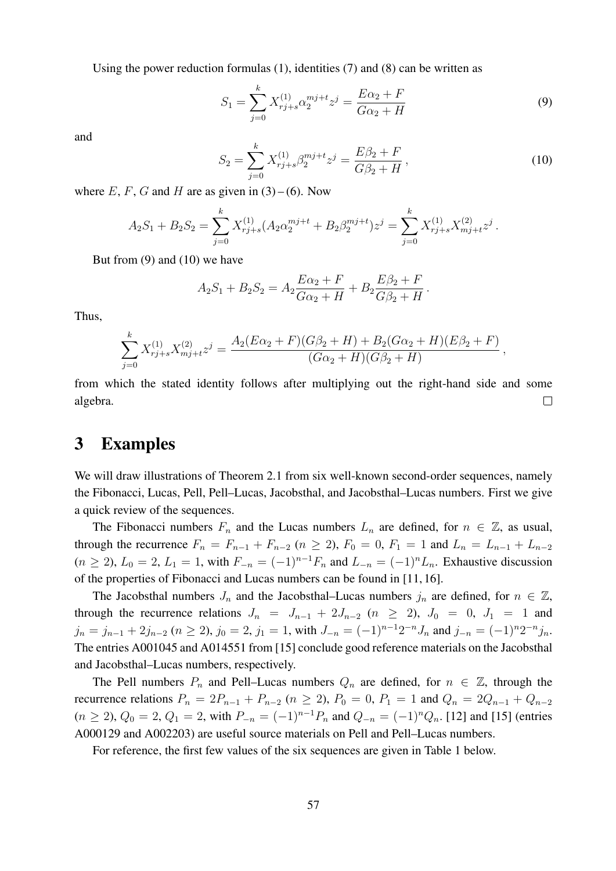Using the power reduction formulas  $(1)$ , identities  $(7)$  and  $(8)$  can be written as

$$
S_1 = \sum_{j=0}^{k} X_{rj+s}^{(1)} \alpha_2^{mj+t} z^j = \frac{E\alpha_2 + F}{G\alpha_2 + H}
$$
(9)

and

$$
S_2 = \sum_{j=0}^{k} X_{rj+s}^{(1)} \beta_2^{mj+t} z^j = \frac{E\beta_2 + F}{G\beta_2 + H},
$$
\n(10)

where E, F, G and H are as given in  $(3)$  – (6). Now

$$
A_2S_1 + B_2S_2 = \sum_{j=0}^k X_{rj+s}^{(1)} (A_2 \alpha_2^{mj+t} + B_2 \beta_2^{mj+t}) z^j = \sum_{j=0}^k X_{rj+s}^{(1)} X_{mj+t}^{(2)} z^j.
$$

But from (9) and (10) we have

$$
A_2S_1 + B_2S_2 = A_2 \frac{E\alpha_2 + F}{G\alpha_2 + H} + B_2 \frac{E\beta_2 + F}{G\beta_2 + H}.
$$

Thus,

$$
\sum_{j=0}^{k} X_{rj+s}^{(1)} X_{mj+t}^{(2)} z^j = \frac{A_2 (E\alpha_2 + F)(G\beta_2 + H) + B_2 (G\alpha_2 + H)(E\beta_2 + F)}{(G\alpha_2 + H)(G\beta_2 + H)},
$$

from which the stated identity follows after multiplying out the right-hand side and some algebra.  $\Box$ 

#### 3 Examples

We will draw illustrations of Theorem 2.1 from six well-known second-order sequences, namely the Fibonacci, Lucas, Pell, Pell–Lucas, Jacobsthal, and Jacobsthal–Lucas numbers. First we give a quick review of the sequences.

The Fibonacci numbers  $F_n$  and the Lucas numbers  $L_n$  are defined, for  $n \in \mathbb{Z}$ , as usual, through the recurrence  $F_n = F_{n-1} + F_{n-2}$  ( $n \ge 2$ ),  $F_0 = 0$ ,  $F_1 = 1$  and  $L_n = L_{n-1} + L_{n-2}$  $(n \ge 2)$ ,  $L_0 = 2$ ,  $L_1 = 1$ , with  $F_{-n} = (-1)^{n-1}F_n$  and  $L_{-n} = (-1)^nL_n$ . Exhaustive discussion of the properties of Fibonacci and Lucas numbers can be found in [11, 16].

The Jacobsthal numbers  $J_n$  and the Jacobsthal–Lucas numbers  $j_n$  are defined, for  $n \in \mathbb{Z}$ , through the recurrence relations  $J_n = J_{n-1} + 2J_{n-2}$   $(n \geq 2)$ ,  $J_0 = 0$ ,  $J_1 = 1$  and  $j_n = j_{n-1} + 2j_{n-2}$   $(n \ge 2)$ ,  $j_0 = 2$ ,  $j_1 = 1$ , with  $J_{-n} = (-1)^{n-1}2^{-n}J_n$  and  $j_{-n} = (-1)^{n}2^{-n}j_n$ . The entries A001045 and A014551 from [15] conclude good reference materials on the Jacobsthal and Jacobsthal–Lucas numbers, respectively.

The Pell numbers  $P_n$  and Pell–Lucas numbers  $Q_n$  are defined, for  $n \in \mathbb{Z}$ , through the recurrence relations  $P_n = 2P_{n-1} + P_{n-2}$  ( $n \ge 2$ ),  $P_0 = 0$ ,  $P_1 = 1$  and  $Q_n = 2Q_{n-1} + Q_{n-2}$  $(n \ge 2)$ ,  $Q_0 = 2$ ,  $Q_1 = 2$ , with  $P_{-n} = (-1)^{n-1}P_n$  and  $Q_{-n} = (-1)^n Q_n$ . [12] and [15] (entries A000129 and A002203) are useful source materials on Pell and Pell–Lucas numbers.

For reference, the first few values of the six sequences are given in Table 1 below.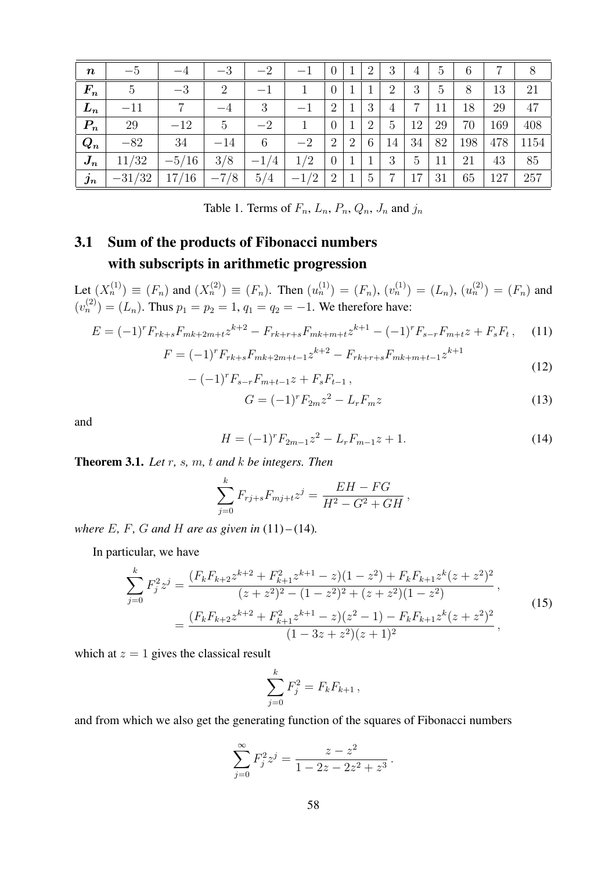| $\boldsymbol{n}$   | $G-$           |         | $-3$           | $-2$   | $-1$        | $\theta$       |                | 2              | 3              | 4  | $5\overline{)}$ | 6   | 7   | 8    |
|--------------------|----------------|---------|----------------|--------|-------------|----------------|----------------|----------------|----------------|----|-----------------|-----|-----|------|
| $\bm{F_n}$         | $\overline{5}$ | $-3$    | $\overline{2}$ | $-1$   |             | $\theta$       |                |                | $\overline{2}$ | 3  | 5               | 8   | 13  | 21   |
| $\bm{L_n}$         | $-11$          | 7       | $-4$           | 3      | $^{\rm -1}$ | $\overline{2}$ |                | 3              | 4              | ⇁  | 11              | 18  | 29  | 47   |
| $P_n$              | 29             | $-12$   | 5              | $-2$   |             | $\theta$       |                | $\overline{2}$ | 5              | 12 | 29              | 70  | 169 | 408  |
| $\boldsymbol{Q_n}$ | $-82$          | 34      | $-14$          | 6      | $-2$        | $\overline{2}$ | $\overline{2}$ | 6              | 14             | 34 | 82              | 198 | 478 | 1154 |
| $\boldsymbol{J_n}$ | 11/32          | $-5/16$ | 3/8            | $-1/4$ | 1/2         | $\theta$       |                |                | 3              | 5  | 11              | 21  | 43  | 85   |
| $\boldsymbol{j_n}$ | $-31/32$       | 17/16   | $-7/8$         | 5/4    | $-1/2$      | 2              |                | 5              | $\overline{7}$ | 17 | 31              | 65  | 127 | 257  |

Table 1. Terms of  $F_n$ ,  $L_n$ ,  $P_n$ ,  $Q_n$ ,  $J_n$  and  $j_n$ 

## 3.1 Sum of the products of Fibonacci numbers with subscripts in arithmetic progression

Let  $(X_n^{(1)}) \equiv (F_n)$  and  $(X_n^{(2)}) \equiv (F_n)$ . Then  $(u_n^{(1)}) = (F_n)$ ,  $(v_n^{(1)}) = (L_n)$ ,  $(u_n^{(2)}) = (F_n)$  and  $(v_n^{(2)}) = (L_n)$ . Thus  $p_1 = p_2 = 1$ ,  $q_1 = q_2 = -1$ . We therefore have:

$$
E = (-1)^r F_{rk+s} F_{mk+2m+t} z^{k+2} - F_{rk+r+s} F_{mk+m+t} z^{k+1} - (-1)^r F_{s-r} F_{m+t} z + F_s F_t, \tag{11}
$$

$$
F = (-1)^r F_{rk+s} F_{mk+2m+t-1} z^{k+2} - F_{rk+r+s} F_{mk+m+t-1} z^{k+1}
$$
\n(12)

$$
-(-1)^{r} F_{s-r} F_{m+t-1} z + F_{s} F_{t-1} ,
$$

$$
G = (-1)^r F_{2m} z^2 - L_r F_m z \tag{13}
$$

and

$$
H = (-1)^r F_{2m-1} z^2 - L_r F_{m-1} z + 1.
$$
\n(14)

Theorem 3.1. *Let* r*,* s*,* m*,* t *and* k *be integers. Then*

$$
\sum_{j=0}^{k} F_{rj+s} F_{mj+t} z^j = \frac{EH - FG}{H^2 - G^2 + GH},
$$

*where*  $E$ *, F<sub>,</sub> G* and  $H$  are as given in (11) – (14)*.* 

In particular, we have

$$
\sum_{j=0}^{k} F_j^2 z^j = \frac{(F_k F_{k+2} z^{k+2} + F_{k+1}^2 z^{k+1} - z)(1 - z^2) + F_k F_{k+1} z^k (z + z^2)^2}{(z + z^2)^2 - (1 - z^2)^2 + (z + z^2)(1 - z^2)},
$$
\n
$$
= \frac{(F_k F_{k+2} z^{k+2} + F_{k+1}^2 z^{k+1} - z)(z^2 - 1) - F_k F_{k+1} z^k (z + z^2)^2}{(1 - 3z + z^2)(z + 1)^2},
$$
\n(15)

which at  $z = 1$  gives the classical result

$$
\sum_{j=0}^{k} F_j^2 = F_k F_{k+1} \,,
$$

and from which we also get the generating function of the squares of Fibonacci numbers

$$
\sum_{j=0}^{\infty} F_j^2 z^j = \frac{z - z^2}{1 - 2z - 2z^2 + z^3}.
$$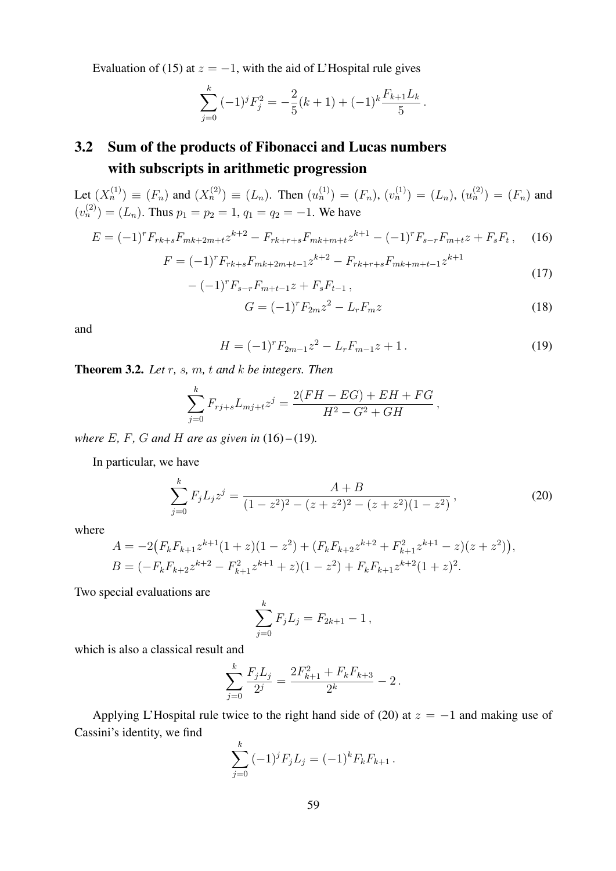Evaluation of (15) at  $z = -1$ , with the aid of L'Hospital rule gives

$$
\sum_{j=0}^{k} (-1)^j F_j^2 = -\frac{2}{5}(k+1) + (-1)^k \frac{F_{k+1} L_k}{5}.
$$

## 3.2 Sum of the products of Fibonacci and Lucas numbers with subscripts in arithmetic progression

Let  $(X_n^{(1)}) \equiv (F_n)$  and  $(X_n^{(2)}) \equiv (L_n)$ . Then  $(u_n^{(1)}) = (F_n)$ ,  $(v_n^{(1)}) = (L_n)$ ,  $(u_n^{(2)}) = (F_n)$  and  $(v_n^{(2)}) = (L_n)$ . Thus  $p_1 = p_2 = 1$ ,  $q_1 = q_2 = -1$ . We have

$$
E = (-1)^r F_{rk+s} F_{mk+2m+t} z^{k+2} - F_{rk+r+s} F_{mk+m+t} z^{k+1} - (-1)^r F_{s-r} F_{m+t} z + F_s F_t, \tag{16}
$$

$$
F = (-1)^r F_{rk+s} F_{mk+2m+t-1} z^{k+2} - F_{rk+r+s} F_{mk+m+t-1} z^{k+1}
$$
  

$$
- (-1)^r F_{s-r} F_{m+t-1} z + F_s F_{t-1},
$$
 (17)

$$
G = (-1)^r F_{2m} z^2 - L_r F_m z \tag{18}
$$

and

$$
H = (-1)^r F_{2m-1} z^2 - L_r F_{m-1} z + 1.
$$
\n(19)

Theorem 3.2. *Let* r*,* s*,* m*,* t *and* k *be integers. Then*

$$
\sum_{j=0}^{k} F_{rj+s} L_{mj+t} z^j = \frac{2(FH - EG) + EH + FG}{H^2 - G^2 + GH},
$$

*where*  $E$ *, F<sub>,</sub> G and*  $H$  *are as given in* (16) – (19)*.* 

In particular, we have

$$
\sum_{j=0}^{k} F_j L_j z^j = \frac{A+B}{(1-z^2)^2 - (z+z^2)^2 - (z+z^2)(1-z^2)},
$$
\n(20)

where

$$
A = -2(F_k F_{k+1} z^{k+1} (1+z)(1-z^2) + (F_k F_{k+2} z^{k+2} + F_{k+1}^2 z^{k+1} - z)(z+z^2)),
$$
  
\n
$$
B = (-F_k F_{k+2} z^{k+2} - F_{k+1}^2 z^{k+1} + z)(1-z^2) + F_k F_{k+1} z^{k+2} (1+z)^2.
$$

Two special evaluations are

$$
\sum_{j=0}^{k} F_j L_j = F_{2k+1} - 1,
$$

which is also a classical result and

$$
\sum_{j=0}^{k} \frac{F_j L_j}{2^j} = \frac{2F_{k+1}^2 + F_k F_{k+3}}{2^k} - 2.
$$

Applying L'Hospital rule twice to the right hand side of (20) at  $z = -1$  and making use of Cassini's identity, we find

$$
\sum_{j=0}^{k} (-1)^j F_j L_j = (-1)^k F_k F_{k+1}.
$$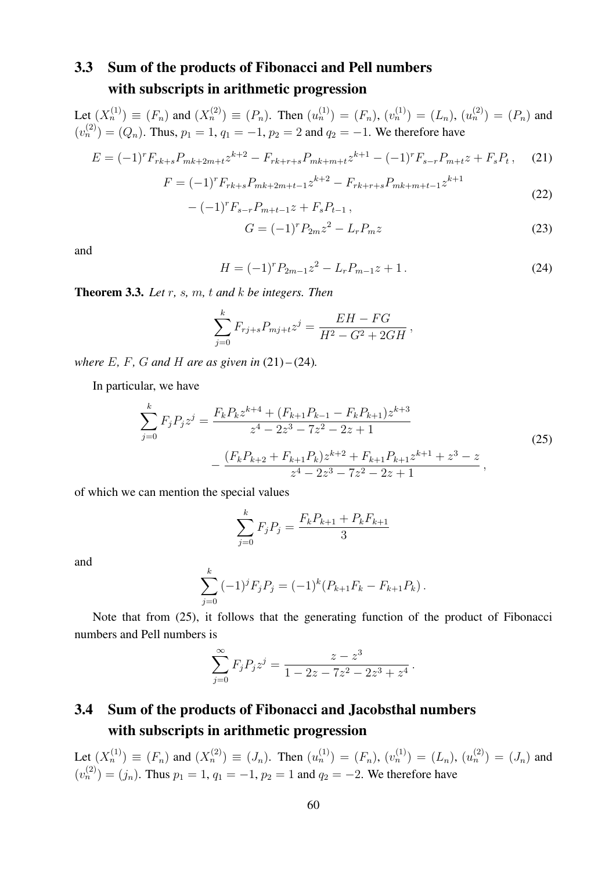#### 3.3 Sum of the products of Fibonacci and Pell numbers with subscripts in arithmetic progression

Let  $(X_n^{(1)}) \equiv (F_n)$  and  $(X_n^{(2)}) \equiv (P_n)$ . Then  $(u_n^{(1)}) = (F_n)$ ,  $(v_n^{(1)}) = (L_n)$ ,  $(u_n^{(2)}) = (P_n)$  and  $(v_n^{(2)}) = (Q_n)$ . Thus,  $p_1 = 1$ ,  $q_1 = -1$ ,  $p_2 = 2$  and  $q_2 = -1$ . We therefore have

$$
E = (-1)^r F_{rk+s} P_{mk+2m+t} z^{k+2} - F_{rk+r+s} P_{mk+m+t} z^{k+1} - (-1)^r F_{s-r} P_{m+t} z + F_s P_t, \tag{21}
$$

$$
F = (-1)^r F_{rk+s} P_{mk+2m+t-1} z^{k+2} - F_{rk+r+s} P_{mk+m+t-1} z^{k+1}
$$
\n(22)

$$
-(-1)^r F_{s-r} P_{m+t-1} z + F_s P_{t-1} ,
$$

$$
G = (-1)^r P_{2m} z^2 - L_r P_m z \tag{23}
$$

and

$$
H = (-1)^r P_{2m-1} z^2 - L_r P_{m-1} z + 1.
$$
 (24)

Theorem 3.3. *Let* r*,* s*,* m*,* t *and* k *be integers. Then*

$$
\sum_{j=0}^{k} F_{rj+s} P_{mj+t} z^j = \frac{EH - FG}{H^2 - G^2 + 2GH},
$$

*where*  $E$ *,*  $F$ *,*  $G$  *and*  $H$  *are as given in*  $(21) - (24)$ *.* 

In particular, we have

$$
\sum_{j=0}^{k} F_j P_j z^j = \frac{F_k P_k z^{k+4} + (F_{k+1} P_{k-1} - F_k P_{k+1}) z^{k+3}}{z^4 - 2z^3 - 7z^2 - 2z + 1}
$$
\n
$$
- \frac{(F_k P_{k+2} + F_{k+1} P_k) z^{k+2} + F_{k+1} P_{k+1} z^{k+1} + z^3 - z}{z^4 - 2z^3 - 7z^2 - 2z + 1},
$$
\n(25)

of which we can mention the special values

$$
\sum_{j=0}^{k} F_j P_j = \frac{F_k P_{k+1} + P_k F_{k+1}}{3}
$$

and

$$
\sum_{j=0}^{k} (-1)^{j} F_{j} P_{j} = (-1)^{k} (P_{k+1} F_{k} - F_{k+1} P_{k}).
$$

Note that from (25), it follows that the generating function of the product of Fibonacci numbers and Pell numbers is

$$
\sum_{j=0}^{\infty} F_j P_j z^j = \frac{z - z^3}{1 - 2z - 7z^2 - 2z^3 + z^4}.
$$

### 3.4 Sum of the products of Fibonacci and Jacobsthal numbers with subscripts in arithmetic progression

Let  $(X_n^{(1)}) \equiv (F_n)$  and  $(X_n^{(2)}) \equiv (J_n)$ . Then  $(u_n^{(1)}) = (F_n)$ ,  $(v_n^{(1)}) = (L_n)$ ,  $(u_n^{(2)}) = (J_n)$  and  $(v_n^{(2)}) = (j_n)$ . Thus  $p_1 = 1$ ,  $q_1 = -1$ ,  $p_2 = 1$  and  $q_2 = -2$ . We therefore have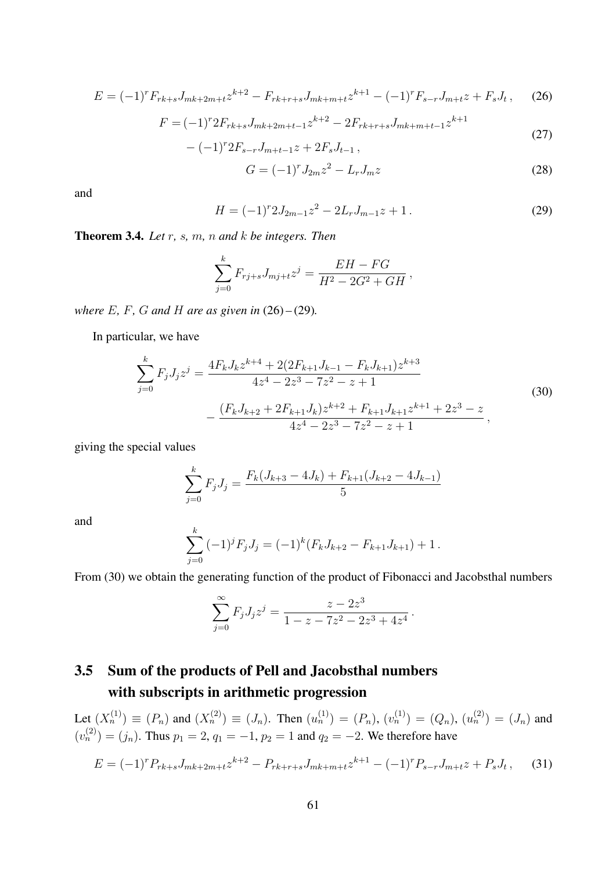$$
E = (-1)^r F_{rk+s} J_{mk+2m+t} z^{k+2} - F_{rk+r+s} J_{mk+m+t} z^{k+1} - (-1)^r F_{s-r} J_{m+t} z + F_s J_t, \tag{26}
$$

$$
F = (-1)^{r} 2F_{rk+s} J_{mk+2m+t-1} z^{k+2} - 2F_{rk+r+s} J_{mk+m+t-1} z^{k+1}
$$
\n(27)

$$
-(-1)^r 2F_{s-r}J_{m+t-1}z + 2F_sJ_{t-1},
$$

$$
G = (-1)^{r} J_{2m} z^{2} - L_{r} J_{m} z \tag{28}
$$

and

$$
H = (-1)^{r} 2J_{2m-1} z^{2} - 2L_{r} J_{m-1} z + 1.
$$
 (29)

Theorem 3.4. *Let* r*,* s*,* m*,* n *and* k *be integers. Then*

$$
\sum_{j=0}^{k} F_{rj+s} J_{mj+t} z^j = \frac{EH - FG}{H^2 - 2G^2 + GH},
$$

*where*  $E$ *,*  $F$ *<i>,*  $G$  *and*  $H$  *are as given in* (26) – (29)*.* 

In particular, we have

$$
\sum_{j=0}^{k} F_j J_j z^j = \frac{4F_k J_k z^{k+4} + 2(2F_{k+1}J_{k-1} - F_k J_{k+1}) z^{k+3}}{4z^4 - 2z^3 - 7z^2 - z + 1}
$$
  
 
$$
- \frac{(F_k J_{k+2} + 2F_{k+1}J_k) z^{k+2} + F_{k+1}J_{k+1} z^{k+1} + 2z^3 - z}{4z^4 - 2z^3 - 7z^2 - z + 1},
$$
 (30)

giving the special values

$$
\sum_{j=0}^{k} F_j J_j = \frac{F_k (J_{k+3} - 4J_k) + F_{k+1} (J_{k+2} - 4J_{k-1})}{5}
$$

and

$$
\sum_{j=0}^{k} (-1)^{j} F_{j} J_{j} = (-1)^{k} (F_{k} J_{k+2} - F_{k+1} J_{k+1}) + 1.
$$

From (30) we obtain the generating function of the product of Fibonacci and Jacobsthal numbers

$$
\sum_{j=0}^{\infty} F_j J_j z^j = \frac{z - 2z^3}{1 - z - 7z^2 - 2z^3 + 4z^4}.
$$

### 3.5 Sum of the products of Pell and Jacobsthal numbers with subscripts in arithmetic progression

Let  $(X_n^{(1)}) \equiv (P_n)$  and  $(X_n^{(2)}) \equiv (J_n)$ . Then  $(u_n^{(1)}) = (P_n)$ ,  $(v_n^{(1)}) = (Q_n)$ ,  $(u_n^{(2)}) = (J_n)$  and  $(v_n^{(2)}) = (j_n)$ . Thus  $p_1 = 2$ ,  $q_1 = -1$ ,  $p_2 = 1$  and  $q_2 = -2$ . We therefore have

$$
E = (-1)^r P_{rk+s} J_{mk+2m+t} z^{k+2} - P_{rk+r+s} J_{mk+m+t} z^{k+1} - (-1)^r P_{s-r} J_{m+t} z + P_s J_t, \tag{31}
$$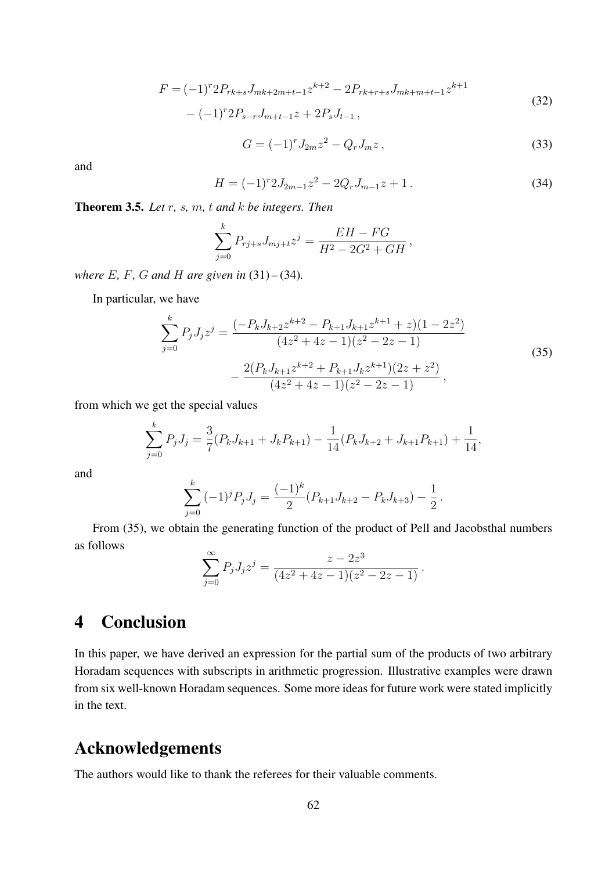$$
F = (-1)^{r} 2P_{rk+s} J_{mk+2m+t-1} z^{k+2} - 2P_{rk+r+s} J_{mk+m+t-1} z^{k+1}
$$
\n(32)

$$
-(-1)^r 2P_{s-r}J_{m+t-1}z + 2P_sJ_{t-1}\,,
$$

$$
G = (-1)^{r} J_{2m} z^{2} - Q_{r} J_{m} z, \qquad (33)
$$

and

$$
H = (-1)^{r} 2J_{2m-1} z^{2} - 2Q_{r} J_{m-1} z + 1.
$$
 (34)

Theorem 3.5. *Let* r*,* s*,* m*,* t *and* k *be integers. Then*

$$
\sum_{j=0}^{k} P_{rj+s} J_{mj+t} z^j = \frac{EH - FG}{H^2 - 2G^2 + GH},
$$

*where* E*,* F*,* G *and* H *are given in* (31) *–* (34)*.*

In particular, we have

$$
\sum_{j=0}^{k} P_j J_j z^j = \frac{(-P_k J_{k+2} z^{k+2} - P_{k+1} J_{k+1} z^{k+1} + z)(1 - 2z^2)}{(4z^2 + 4z - 1)(z^2 - 2z - 1)}
$$
  

$$
-\frac{2(P_k J_{k+1} z^{k+2} + P_{k+1} J_k z^{k+1})(2z + z^2)}{(4z^2 + 4z - 1)(z^2 - 2z - 1)},
$$
(35)

from which we get the special values

$$
\sum_{j=0}^{k} P_j J_j = \frac{3}{7} (P_k J_{k+1} + J_k P_{k+1}) - \frac{1}{14} (P_k J_{k+2} + J_{k+1} P_{k+1}) + \frac{1}{14},
$$

and

$$
\sum_{j=0}^{k} (-1)^j P_j J_j = \frac{(-1)^k}{2} (P_{k+1} J_{k+2} - P_k J_{k+3}) - \frac{1}{2}.
$$

From (35), we obtain the generating function of the product of Pell and Jacobsthal numbers as follows

$$
\sum_{j=0}^{\infty} P_j J_j z^j = \frac{z - 2z^3}{(4z^2 + 4z - 1)(z^2 - 2z - 1)}.
$$

## 4 Conclusion

In this paper, we have derived an expression for the partial sum of the products of two arbitrary Horadam sequences with subscripts in arithmetic progression. Illustrative examples were drawn from six well-known Horadam sequences. Some more ideas for future work were stated implicitly in the text.

### Acknowledgements

The authors would like to thank the referees for their valuable comments.